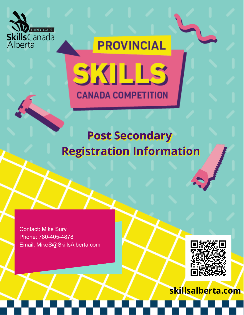

# **PROVINCIAL** SKILL **CANADA COMPETITION**

# **Post Secondary Registration Information**

Contact: Mike Sury Phone: 780-405-4878 Email: MikeS@SkillsAlberta.com



**skillsalberta.com**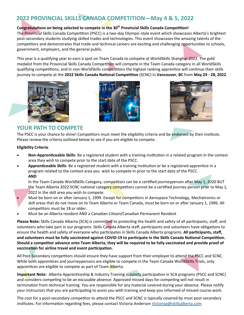### **2022 PROVINCIAL SKILLS CANADA COMPETITION—May 4 & 5, 2022**

#### Congratulations on being selected to compete in the 30<sup>th</sup> Provincial Skills Canada Competition!

The Provincial Skills Canada Competition (PSCC) is a two-day Olympic-style event which showcases Alberta's brightest post‐secondary students studying skilled trades and technologies. This event showcases the amazing talents of the competitors and demonstrates that trade and technical careers are exciting and challenging opportunities to schools, government, employers, and the general public.

This year is a qualifying year to earn a spot on Team Canada to compete at WorldSkills Shanghai 2022. The gold medalist from the Provincial Skills Canada Competition will compete in the Team Canada category in all WorldSkills qualifying competitions, and in non-WorldSkills competitions the highest ranking apprentice will continue their skills journey to compete at the **2022 Skills Canada NaƟonal CompeƟƟon** (SCNC) in **Vancouver, BC** from **May 24 ‐ 28, 2022**.







#### **YOUR PATH TO COMPETE**

The PSCC is your chance to shine! Competitors must meet the eligibility criteria and be endorsed by their institute. Please review the criteria outlined below to see if you are eligible to compete.

#### **Eligibility Criteria**:

- Non-Apprenticeable Skills: Be a registered student with a training institution in a related program in the contest area they wish to compete prior to the start date of the PSCC.
- Apprenticeable Skills: Be a registered student with a training institution or be a registered apprentice in a program related to the contest area you wish to compete in prior to the start date of the PSCC. **AND**

In the Team Canada WorldSkills Category, competitors can be a certified journeyperson after May 1, 2020 BUT the Team Alberta 2022 SCNC national category competitors cannot be a certified journey person prior to May 1, 2022 in the skill area you wish to compete.

- Must be born on or after January 1, 1999. Except for competitors in Aerospace Technology, Mechatronics or skill areas that do not move on to Team Alberta or Team Canada, must be born on or after January 1, 1996. All competitors must be 18 or older.
- Must be an Alberta resident AND a Canadian Citizen/Canadian Permanent Resident

**Please Note:** Skills Canada Alberta (SCA) is committed to protecting the health and safety of all participants, staff, and volunteers who take part in our programs. Skills Canada Alberta staff, participants and volunteers have obligations to ensure the health and safety of everyone who participates in Skills Canada Alberta programs. **All participants, staff, and volunteers must be fully vaccinated against COVID‐19 to parƟcipate in the Skills Canada NaƟonal CompeƟƟon.**  Should a competitor advance onto Team Alberta, they will be required to be fully vaccinated and provide proof of **vaccinaƟon for airline travel and event parƟcipaƟon.** 

All Post-Secondary competitors should ensure they have support from their employer to attend the PSCC and SCNC. While both apprentices and journeypersons are eligible to compete in the Team Canada WorldSkills Trials, only apprentices are eligible to compete as part of Team Alberta.

**Important Note:** Alberta Apprenticeship & Industry Training supports participation in SCA programs (PSCC and SCNC) and considers competing to be an excusable absence. Approved missed days for competing will not result in termination from technical training. You are responsible for any material covered during your absence. Please notify your instructors that you are participating to assist you with training and keep you informed of missed course work.

The cost for a post-secondary competitor to attend the PSCC and SCNC is typically covered by most post-secondary institutes. For information regarding fees, please contact Victoria Anderson Victoriaa@skillsalberta.com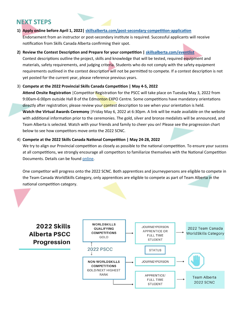# **NEXT STEPS**

- 1) Apply online before April 1, 2022 | skillsalberta.com/post-secondary-competition-application Endorsement from an instructor or post-secondary institute is required. Successful applicants will receive notification from Skills Canada Alberta confirming their spot.
- **2) Review the Contest Description and Prepare for your competition | skillsalberta.com/eventlist**

Contest descriptions outline the project, skills and knowledge that will be tested, required equipment and materials, safety requirements, and judging criteria. Students who do not comply with the safety equipment requirements outlined in the contest description will not be permitted to compete. If a contest description is not yet posted for the current year, please reference previous years.

#### 3) **Compete at the 2022 Provincial Skills Canada Competition | May 4-5, 2022**

Attend Onsite Registration | Competitor Registration for the PSCC will take place on Tuesday May 3, 2022 from 9:00am-6:00pm outside Hall B of the Edmonton EXPO Centre. Some competitions have mandatory orientations directly after registration; please review your contest description to see when your orientation is held. **Watch the Virtual Awards Ceremony** |Friday May 6, 2022 at 6:30pm. A link will be made available on the website with additional information prior to the ceremonies. The gold, silver and bronze medalists will be announced, and Team Alberta is selected. Watch with your friends and family to cheer you on! Please see the progression chart below to see how competitors move onto the 2022 SCNC.

#### 4) **Compete at the 2022 Skills Canada NaƟonal CompeƟƟon | May 24‐28, 2022**

We try to align our Provincial competition as closely as possible to the national competition. To ensure your success at all competitions, we strongly encourage all competitors to familiarize themselves with the National Competition Documents. Details can be found online.

One competitor will progress onto the 2022 SCNC. Both apprentices and journeypersons are eligible to compete in the Team Canada WorldSkills Category, only apprentices are eligible to compete as part of Team Alberta in the national competition category.

# 2022 Skills **Alberta PSCC Progression**

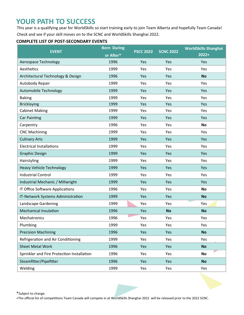# **YOUR PATH TO SUCCESS**

This year is a qualifying year for WorldSkills so start training early to join Team Alberta and hopefully Team Canada! Check and see if your skill moves on to the SCNC and WorldSkills Shanghai 2022.

#### **COMPLETE LIST OF POST-SECONDARY EVENTS**

| <b>EVENT</b>                               | <b>Born During</b> | <b>PSCC 2022</b> | <b>SCNC 2022</b> | <b>WorldSkills Shanghai</b> |
|--------------------------------------------|--------------------|------------------|------------------|-----------------------------|
|                                            | or After*          |                  |                  | $2022+$                     |
| Aerospace Technology                       | 1996               | Yes              | Yes              | Yes                         |
| Aesthetics                                 | 1999               | Yes              | Yes              | Yes                         |
| Architectural Technology & Design          | 1996               | Yes              | Yes              | <b>No</b>                   |
| Autobody Repair                            | 1999               | Yes              | Yes              | Yes                         |
| Automobile Technology                      | 1999               | Yes              | Yes              | Yes                         |
| <b>Baking</b>                              | 1999               | Yes              | Yes              | Yes                         |
| <b>Bricklaying</b>                         | 1999               | Yes              | Yes              | Yes                         |
| <b>Cabinet Making</b>                      | 1999               | Yes              | Yes              | Yes                         |
| <b>Car Painting</b>                        | 1999               | Yes              | Yes              | Yes                         |
| Carpentry                                  | 1996               | Yes              | Yes              | <b>No</b>                   |
| <b>CNC Machining</b>                       | 1999               | Yes              | Yes              | Yes                         |
| <b>Culinary Arts</b>                       | 1999               | Yes              | Yes              | Yes                         |
| <b>Electrical Installations</b>            | 1999               | Yes              | Yes              | Yes                         |
| <b>Graphic Design</b>                      | 1999               | Yes              | Yes              | Yes                         |
| Hairstyling                                | 1999               | Yes              | Yes              | Yes                         |
| <b>Heavy Vehicle Technology</b>            | 1999               | Yes              | Yes              | Yes                         |
| <b>Industrial Control</b>                  | 1999               | Yes              | Yes              | Yes                         |
| Industrial Mechanic / Millwright           | 1999               | Yes              | Yes              | Yes                         |
| IT Office Software Applications            | 1996               | Yes              | Yes              | <b>No</b>                   |
| IT-Network Systems Administration          | 1999               | Yes              | Yes              | <b>No</b>                   |
| Landscape Gardening                        | 1999               | Yes              | Yes              | Yes                         |
| <b>Mechanical Insulation</b>               | 1996               | Yes              | <b>No</b>        | <b>No</b>                   |
| Mechatronics                               | 1996               | Yes              | Yes              | Yes                         |
| Plumbing                                   | 1999               | Yes              | Yes              | Yes                         |
| <b>Precision Machining</b>                 | 1996               | Yes              | Yes              | <b>No</b>                   |
| Refrigeration and Air Conditioning         | 1999               | Yes              | Yes              | Yes                         |
| <b>Sheet Metal Work</b>                    | 1996               | Yes              | Yes              | <b>No</b>                   |
| Sprinkler and Fire Protection Installation | 1996               | Yes              | Yes              | <b>No</b>                   |
| Steamfitter/Pipefitter                     | 1996               | Yes              | Yes              | <b>No</b>                   |
| Welding                                    | 1999               | Yes              | Yes              | Yes                         |

\*Subject to change.

+The official list of competitions Team Canada will compete in at WorldSkills Shanghai 2022 will be released prior to the 2022 SCNC.